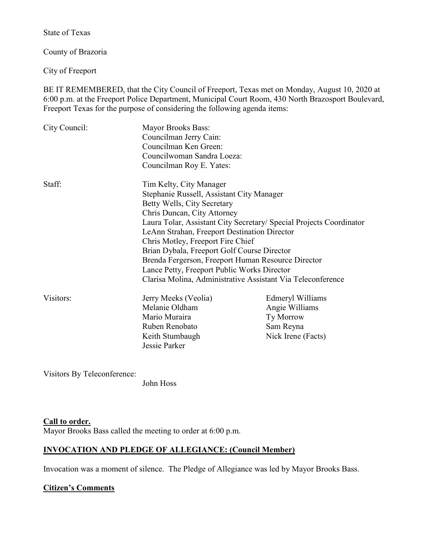State of Texas

County of Brazoria

City of Freeport

BE IT REMEMBERED, that the City Council of Freeport, Texas met on Monday, August 10, 2020 at 6:00 p.m. at the Freeport Police Department, Municipal Court Room, 430 North Brazosport Boulevard, Freeport Texas for the purpose of considering the following agenda items:

| City Council: | <b>Mayor Brooks Bass:</b><br>Councilman Jerry Cain:<br>Councilman Ken Green:<br>Councilwoman Sandra Loeza:<br>Councilman Roy E. Yates:                                                                                                                                                                                                                                                                                                                                                                            |                                                                                    |
|---------------|-------------------------------------------------------------------------------------------------------------------------------------------------------------------------------------------------------------------------------------------------------------------------------------------------------------------------------------------------------------------------------------------------------------------------------------------------------------------------------------------------------------------|------------------------------------------------------------------------------------|
| Staff:        | Tim Kelty, City Manager<br>Stephanie Russell, Assistant City Manager<br>Betty Wells, City Secretary<br>Chris Duncan, City Attorney<br>Laura Tolar, Assistant City Secretary/ Special Projects Coordinator<br>LeAnn Strahan, Freeport Destination Director<br>Chris Motley, Freeport Fire Chief<br>Brian Dybala, Freeport Golf Course Director<br>Brenda Fergerson, Freeport Human Resource Director<br>Lance Petty, Freeport Public Works Director<br>Clarisa Molina, Administrative Assistant Via Teleconference |                                                                                    |
| Visitors:     | Jerry Meeks (Veolia)<br>Melanie Oldham<br>Mario Muraira<br>Ruben Renobato<br>Keith Stumbaugh<br>Jessie Parker                                                                                                                                                                                                                                                                                                                                                                                                     | Edmeryl Williams<br>Angie Williams<br>Ty Morrow<br>Sam Reyna<br>Nick Irene (Facts) |

Visitors By Teleconference:

John Hoss

### **Call to order.**

Mayor Brooks Bass called the meeting to order at 6:00 p.m.

## **INVOCATION AND PLEDGE OF ALLEGIANCE: (Council Member)**

Invocation was a moment of silence. The Pledge of Allegiance was led by Mayor Brooks Bass.

### **Citizen's Comments**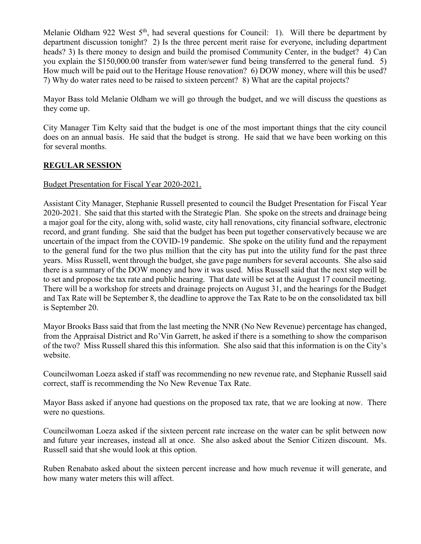Melanie Oldham 922 West  $5<sup>th</sup>$ , had several questions for Council: 1). Will there be department by department discussion tonight? 2) Is the three percent merit raise for everyone, including department heads? 3) Is there money to design and build the promised Community Center, in the budget? 4) Can you explain the \$150,000.00 transfer from water/sewer fund being transferred to the general fund. 5) How much will be paid out to the Heritage House renovation? 6) DOW money, where will this be used? 7) Why do water rates need to be raised to sixteen percent? 8) What are the capital projects?

Mayor Bass told Melanie Oldham we will go through the budget, and we will discuss the questions as they come up.

City Manager Tim Kelty said that the budget is one of the most important things that the city council does on an annual basis. He said that the budget is strong. He said that we have been working on this for several months.

# **REGULAR SESSION**

### Budget Presentation for Fiscal Year 2020-2021.

Assistant City Manager, Stephanie Russell presented to council the Budget Presentation for Fiscal Year 2020-2021. She said that this started with the Strategic Plan. She spoke on the streets and drainage being a major goal for the city, along with, solid waste, city hall renovations, city financial software, electronic record, and grant funding. She said that the budget has been put together conservatively because we are uncertain of the impact from the COVID-19 pandemic. She spoke on the utility fund and the repayment to the general fund for the two plus million that the city has put into the utility fund for the past three years. Miss Russell, went through the budget, she gave page numbers for several accounts. She also said there is a summary of the DOW money and how it was used. Miss Russell said that the next step will be to set and propose the tax rate and public hearing. That date will be set at the August 17 council meeting. There will be a workshop for streets and drainage projects on August 31, and the hearings for the Budget and Tax Rate will be September 8, the deadline to approve the Tax Rate to be on the consolidated tax bill is September 20.

Mayor Brooks Bass said that from the last meeting the NNR (No New Revenue) percentage has changed, from the Appraisal District and Ro'Vin Garrett, he asked if there is a something to show the comparison of the two? Miss Russell shared this this information. She also said that this information is on the City's website.

Councilwoman Loeza asked if staff was recommending no new revenue rate, and Stephanie Russell said correct, staff is recommending the No New Revenue Tax Rate.

Mayor Bass asked if anyone had questions on the proposed tax rate, that we are looking at now. There were no questions.

Councilwoman Loeza asked if the sixteen percent rate increase on the water can be split between now and future year increases, instead all at once. She also asked about the Senior Citizen discount. Ms. Russell said that she would look at this option.

Ruben Renabato asked about the sixteen percent increase and how much revenue it will generate, and how many water meters this will affect.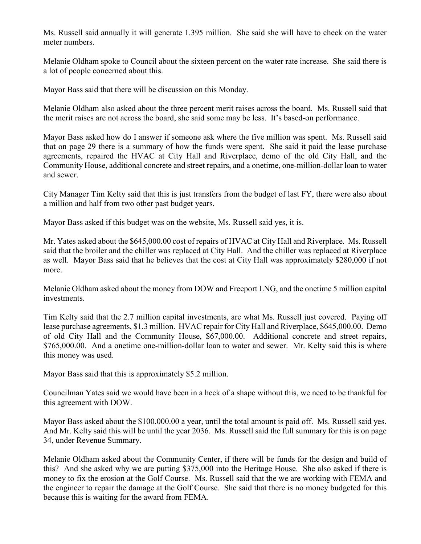Ms. Russell said annually it will generate 1.395 million. She said she will have to check on the water meter numbers.

Melanie Oldham spoke to Council about the sixteen percent on the water rate increase. She said there is a lot of people concerned about this.

Mayor Bass said that there will be discussion on this Monday.

Melanie Oldham also asked about the three percent merit raises across the board. Ms. Russell said that the merit raises are not across the board, she said some may be less. It's based-on performance.

Mayor Bass asked how do I answer if someone ask where the five million was spent. Ms. Russell said that on page 29 there is a summary of how the funds were spent. She said it paid the lease purchase agreements, repaired the HVAC at City Hall and Riverplace, demo of the old City Hall, and the Community House, additional concrete and street repairs, and a onetime, one-million-dollar loan to water and sewer.

City Manager Tim Kelty said that this is just transfers from the budget of last FY, there were also about a million and half from two other past budget years.

Mayor Bass asked if this budget was on the website, Ms. Russell said yes, it is.

Mr. Yates asked about the \$645,000.00 cost of repairs of HVAC at City Hall and Riverplace. Ms. Russell said that the broiler and the chiller was replaced at City Hall. And the chiller was replaced at Riverplace as well. Mayor Bass said that he believes that the cost at City Hall was approximately \$280,000 if not more.

Melanie Oldham asked about the money from DOW and Freeport LNG, and the onetime 5 million capital investments.

Tim Kelty said that the 2.7 million capital investments, are what Ms. Russell just covered. Paying off lease purchase agreements, \$1.3 million. HVAC repair for City Hall and Riverplace, \$645,000.00. Demo of old City Hall and the Community House, \$67,000.00. Additional concrete and street repairs, \$765,000.00. And a onetime one-million-dollar loan to water and sewer. Mr. Kelty said this is where this money was used.

Mayor Bass said that this is approximately \$5.2 million.

Councilman Yates said we would have been in a heck of a shape without this, we need to be thankful for this agreement with DOW.

Mayor Bass asked about the \$100,000.00 a year, until the total amount is paid off. Ms. Russell said yes. And Mr. Kelty said this will be until the year 2036. Ms. Russell said the full summary for this is on page 34, under Revenue Summary.

Melanie Oldham asked about the Community Center, if there will be funds for the design and build of this? And she asked why we are putting \$375,000 into the Heritage House. She also asked if there is money to fix the erosion at the Golf Course. Ms. Russell said that the we are working with FEMA and the engineer to repair the damage at the Golf Course. She said that there is no money budgeted for this because this is waiting for the award from FEMA.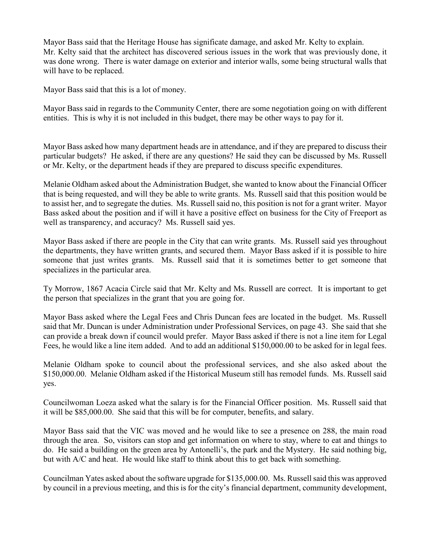Mayor Bass said that the Heritage House has significate damage, and asked Mr. Kelty to explain. Mr. Kelty said that the architect has discovered serious issues in the work that was previously done, it was done wrong. There is water damage on exterior and interior walls, some being structural walls that will have to be replaced.

Mayor Bass said that this is a lot of money.

Mayor Bass said in regards to the Community Center, there are some negotiation going on with different entities. This is why it is not included in this budget, there may be other ways to pay for it.

Mayor Bass asked how many department heads are in attendance, and if they are prepared to discuss their particular budgets? He asked, if there are any questions? He said they can be discussed by Ms. Russell or Mr. Kelty, or the department heads if they are prepared to discuss specific expenditures.

Melanie Oldham asked about the Administration Budget, she wanted to know about the Financial Officer that is being requested, and will they be able to write grants. Ms. Russell said that this position would be to assist her, and to segregate the duties. Ms. Russell said no, this position is not for a grant writer. Mayor Bass asked about the position and if will it have a positive effect on business for the City of Freeport as well as transparency, and accuracy? Ms. Russell said yes.

Mayor Bass asked if there are people in the City that can write grants. Ms. Russell said yes throughout the departments, they have written grants, and secured them. Mayor Bass asked if it is possible to hire someone that just writes grants. Ms. Russell said that it is sometimes better to get someone that specializes in the particular area.

Ty Morrow, 1867 Acacia Circle said that Mr. Kelty and Ms. Russell are correct. It is important to get the person that specializes in the grant that you are going for.

Mayor Bass asked where the Legal Fees and Chris Duncan fees are located in the budget. Ms. Russell said that Mr. Duncan is under Administration under Professional Services, on page 43. She said that she can provide a break down if council would prefer. Mayor Bass asked if there is not a line item for Legal Fees, he would like a line item added. And to add an additional \$150,000.00 to be asked for in legal fees.

Melanie Oldham spoke to council about the professional services, and she also asked about the \$150,000.00. Melanie Oldham asked if the Historical Museum still has remodel funds. Ms. Russell said yes.

Councilwoman Loeza asked what the salary is for the Financial Officer position. Ms. Russell said that it will be \$85,000.00. She said that this will be for computer, benefits, and salary.

Mayor Bass said that the VIC was moved and he would like to see a presence on 288, the main road through the area. So, visitors can stop and get information on where to stay, where to eat and things to do. He said a building on the green area by Antonelli's, the park and the Mystery. He said nothing big, but with A/C and heat. He would like staff to think about this to get back with something.

Councilman Yates asked about the software upgrade for \$135,000.00. Ms. Russell said this was approved by council in a previous meeting, and this is for the city's financial department, community development,